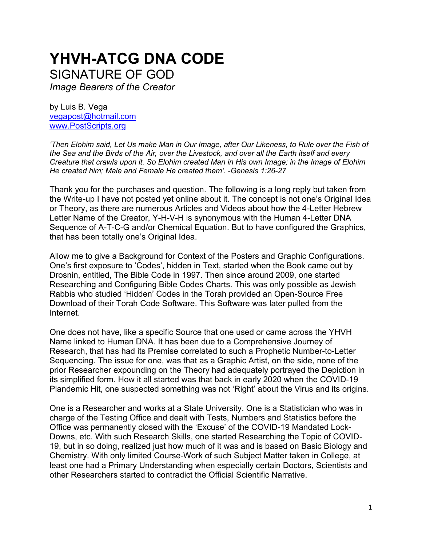# **YHVH-ATCG DNA CODE** SIGNATURE OF GOD

*Image Bearers of the Creator*

by Luis B. Vega [vegapost@hotmail.com](mailto:vegapost@hotmail.com) [www.PostScripts.org](http://www.postscripts.org/)

*'Then Elohim said, Let Us make Man in Our Image, after Our Likeness, to Rule over the Fish of the Sea and the Birds of the Air, over the Livestock, and over all the Earth itself and every Creature that crawls upon it. So Elohim created Man in His own Image; in the Image of Elohim He created him; Male and Female He created them'. -Genesis 1:26-27*

Thank you for the purchases and question. The following is a long reply but taken from the Write-up I have not posted yet online about it. The concept is not one's Original Idea or Theory, as there are numerous Articles and Videos about how the 4-Letter Hebrew Letter Name of the Creator, Y-H-V-H is synonymous with the Human 4-Letter DNA Sequence of A-T-C-G and/or Chemical Equation. But to have configured the Graphics, that has been totally one's Original Idea.

Allow me to give a Background for Context of the Posters and Graphic Configurations. One's first exposure to 'Codes', hidden in Text, started when the Book came out by Drosnin, entitled, The Bible Code in 1997. Then since around 2009, one started Researching and Configuring Bible Codes Charts. This was only possible as Jewish Rabbis who studied 'Hidden' Codes in the Torah provided an Open-Source Free Download of their Torah Code Software. This Software was later pulled from the Internet.

One does not have, like a specific Source that one used or came across the YHVH Name linked to Human DNA. It has been due to a Comprehensive Journey of Research, that has had its Premise correlated to such a Prophetic Number-to-Letter Sequencing. The issue for one, was that as a Graphic Artist, on the side, none of the prior Researcher expounding on the Theory had adequately portrayed the Depiction in its simplified form. How it all started was that back in early 2020 when the COVID-19 Plandemic Hit, one suspected something was not 'Right' about the Virus and its origins.

One is a Researcher and works at a State University. One is a Statistician who was in charge of the Testing Office and dealt with Tests, Numbers and Statistics before the Office was permanently closed with the 'Excuse' of the COVID-19 Mandated Lock-Downs, etc. With such Research Skills, one started Researching the Topic of COVID-19, but in so doing, realized just how much of it was and is based on Basic Biology and Chemistry. With only limited Course-Work of such Subject Matter taken in College, at least one had a Primary Understanding when especially certain Doctors, Scientists and other Researchers started to contradict the Official Scientific Narrative.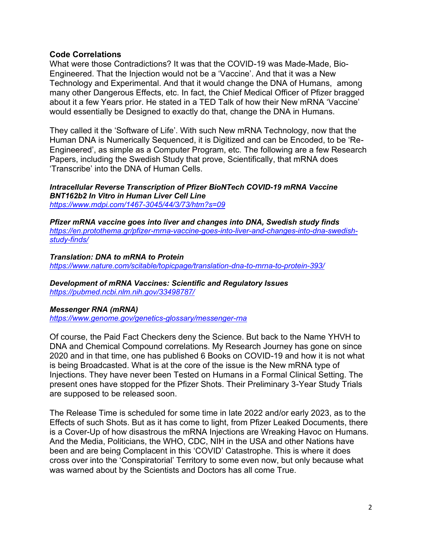#### **Code Correlations**

What were those Contradictions? It was that the COVID-19 was Made-Made, Bio-Engineered. That the Injection would not be a 'Vaccine'. And that it was a New Technology and Experimental. And that it would change the DNA of Humans, among many other Dangerous Effects, etc. In fact, the Chief Medical Officer of Pfizer bragged about it a few Years prior. He stated in a TED Talk of how their New mRNA 'Vaccine' would essentially be Designed to exactly do that, change the DNA in Humans.

They called it the 'Software of Life'. With such New mRNA Technology, now that the Human DNA is Numerically Sequenced, it is Digitized and can be Encoded, to be 'Re-Engineered', as simple as a Computer Program, etc. The following are a few Research Papers, including the Swedish Study that prove, Scientifically, that mRNA does 'Transcribe' into the DNA of Human Cells.

*Intracellular Reverse Transcription of Pfizer BioNTech COVID-19 mRNA Vaccine BNT162b2 In Vitro in Human Liver Cell Line <https://www.mdpi.com/1467-3045/44/3/73/htm?s=09>*

*Pfizer mRNA vaccine goes into liver and changes into DNA, Swedish study finds [https://en.protothema.gr/pfizer-mrna-vaccine-goes-into-liver-and-changes-into-dna-swedish](https://en.protothema.gr/pfizer-mrna-vaccine-goes-into-liver-and-changes-into-dna-swedish-study-finds/)[study-finds/](https://en.protothema.gr/pfizer-mrna-vaccine-goes-into-liver-and-changes-into-dna-swedish-study-finds/)*

*Translation: DNA to mRNA to Protein <https://www.nature.com/scitable/topicpage/translation-dna-to-mrna-to-protein-393/>*

*Development of mRNA Vaccines: Scientific and Regulatory Issues <https://pubmed.ncbi.nlm.nih.gov/33498787/>*

#### *Messenger RNA (mRNA)*

*<https://www.genome.gov/genetics-glossary/messenger-rna>*

Of course, the Paid Fact Checkers deny the Science. But back to the Name YHVH to DNA and Chemical Compound correlations. My Research Journey has gone on since 2020 and in that time, one has published 6 Books on COVID-19 and how it is not what is being Broadcasted. What is at the core of the issue is the New mRNA type of Injections. They have never been Tested on Humans in a Formal Clinical Setting. The present ones have stopped for the Pfizer Shots. Their Preliminary 3-Year Study Trials are supposed to be released soon.

The Release Time is scheduled for some time in late 2022 and/or early 2023, as to the Effects of such Shots. But as it has come to light, from Pfizer Leaked Documents, there is a Cover-Up of how disastrous the mRNA Injections are Wreaking Havoc on Humans. And the Media, Politicians, the WHO, CDC, NIH in the USA and other Nations have been and are being Complacent in this 'COVID' Catastrophe. This is where it does cross over into the 'Conspiratorial' Territory to some even now, but only because what was warned about by the Scientists and Doctors has all come True.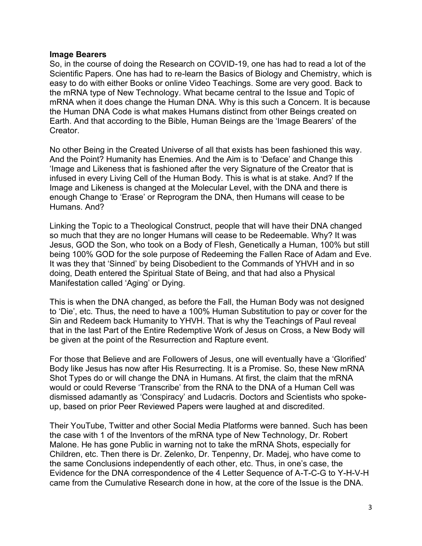#### **Image Bearers**

So, in the course of doing the Research on COVID-19, one has had to read a lot of the Scientific Papers. One has had to re-learn the Basics of Biology and Chemistry, which is easy to do with either Books or online Video Teachings. Some are very good. Back to the mRNA type of New Technology. What became central to the Issue and Topic of mRNA when it does change the Human DNA. Why is this such a Concern. It is because the Human DNA Code is what makes Humans distinct from other Beings created on Earth. And that according to the Bible, Human Beings are the 'Image Bearers' of the **Creator** 

No other Being in the Created Universe of all that exists has been fashioned this way. And the Point? Humanity has Enemies. And the Aim is to 'Deface' and Change this 'Image and Likeness that is fashioned after the very Signature of the Creator that is infused in every Living Cell of the Human Body. This is what is at stake. And? If the Image and Likeness is changed at the Molecular Level, with the DNA and there is enough Change to 'Erase' or Reprogram the DNA, then Humans will cease to be Humans. And?

Linking the Topic to a Theological Construct, people that will have their DNA changed so much that they are no longer Humans will cease to be Redeemable. Why? It was Jesus, GOD the Son, who took on a Body of Flesh, Genetically a Human, 100% but still being 100% GOD for the sole purpose of Redeeming the Fallen Race of Adam and Eve. It was they that 'Sinned' by being Disobedient to the Commands of YHVH and in so doing, Death entered the Spiritual State of Being, and that had also a Physical Manifestation called 'Aging' or Dying.

This is when the DNA changed, as before the Fall, the Human Body was not designed to 'Die', etc. Thus, the need to have a 100% Human Substitution to pay or cover for the Sin and Redeem back Humanity to YHVH. That is why the Teachings of Paul reveal that in the last Part of the Entire Redemptive Work of Jesus on Cross, a New Body will be given at the point of the Resurrection and Rapture event.

For those that Believe and are Followers of Jesus, one will eventually have a 'Glorified' Body like Jesus has now after His Resurrecting. It is a Promise. So, these New mRNA Shot Types do or will change the DNA in Humans. At first, the claim that the mRNA would or could Reverse 'Transcribe' from the RNA to the DNA of a Human Cell was dismissed adamantly as 'Conspiracy' and Ludacris. Doctors and Scientists who spokeup, based on prior Peer Reviewed Papers were laughed at and discredited.

Their YouTube, Twitter and other Social Media Platforms were banned. Such has been the case with 1 of the Inventors of the mRNA type of New Technology, Dr. Robert Malone. He has gone Public in warning not to take the mRNA Shots, especially for Children, etc. Then there is Dr. Zelenko, Dr. Tenpenny, Dr. Madej, who have come to the same Conclusions independently of each other, etc. Thus, in one's case, the Evidence for the DNA correspondence of the 4 Letter Sequence of A-T-C-G to Y-H-V-H came from the Cumulative Research done in how, at the core of the Issue is the DNA.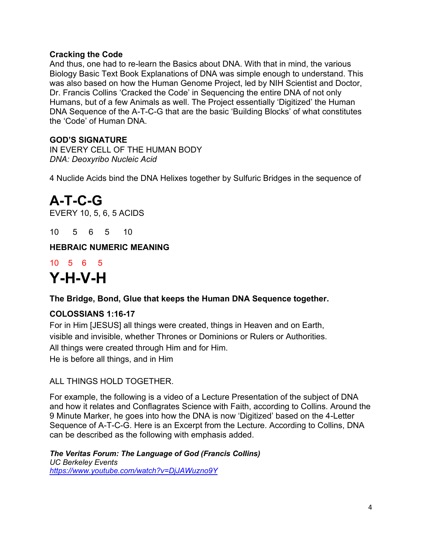## **Cracking the Code**

And thus, one had to re-learn the Basics about DNA. With that in mind, the various Biology Basic Text Book Explanations of DNA was simple enough to understand. This was also based on how the Human Genome Project, led by NIH Scientist and Doctor, Dr. Francis Collins 'Cracked the Code' in Sequencing the entire DNA of not only Humans, but of a few Animals as well. The Project essentially 'Digitized' the Human DNA Sequence of the A-T-C-G that are the basic 'Building Blocks' of what constitutes the 'Code' of Human DNA.

## **GOD'S SIGNATURE**

IN EVERY CELL OF THE HUMAN BODY *DNA: Deoxyribo Nucleic Acid*

4 Nuclide Acids bind the DNA Helixes together by Sulfuric Bridges in the sequence of

## **A-T-C-G**

EVERY 10, 5, 6, 5 ACIDS

10 5 6 5 10

**HEBRAIC NUMERIC MEANING**

## 10 5 6 5 **Y-H-V-H**

**The Bridge, Bond, Glue that keeps the Human DNA Sequence together.**

## **COLOSSIANS 1:16-17**

For in Him [JESUS] all things were created, things in Heaven and on Earth, visible and invisible, whether Thrones or Dominions or Rulers or Authorities. All things were created through Him and for Him. He is before all things, and in Him

ALL THINGS HOLD TOGETHER.

For example, the following is a video of a Lecture Presentation of the subject of DNA and how it relates and Conflagrates Science with Faith, according to Collins. Around the 9 Minute Marker, he goes into how the DNA is now 'Digitized' based on the 4-Letter Sequence of A-T-C-G. Here is an Excerpt from the Lecture. According to Collins, DNA can be described as the following with emphasis added.

*The Veritas Forum: The Language of God (Francis Collins) UC Berkeley Events <https://www.youtube.com/watch?v=DjJAWuzno9Y>*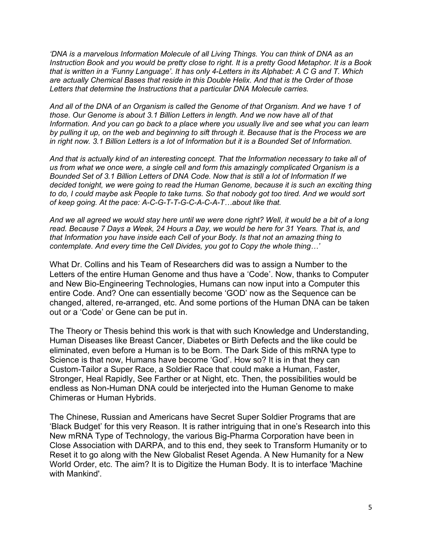*'DNA is a marvelous Information Molecule of all Living Things. You can think of DNA as an Instruction Book and you would be pretty close to right. It is a pretty Good Metaphor. It is a Book that is written in a 'Funny Language'. It has only 4-Letters in its Alphabet: A C G and T. Which are actually Chemical Bases that reside in this Double Helix. And that is the Order of those Letters that determine the Instructions that a particular DNA Molecule carries.*

*And all of the DNA of an Organism is called the Genome of that Organism. And we have 1 of those. Our Genome is about 3.1 Billion Letters in length. And we now have all of that Information. And you can go back to a place where you usually live and see what you can learn by pulling it up, on the web and beginning to sift through it. Because that is the Process we are in right now. 3.1 Billion Letters is a lot of Information but it is a Bounded Set of Information.* 

*And that is actually kind of an interesting concept. That the Information necessary to take all of us from what we once were, a single cell and form this amazingly complicated Organism is a Bounded Set of 3.1 Billion Letters of DNA Code. Now that is still a lot of Information If we decided tonight, we were going to read the Human Genome, because it is such an exciting thing to do, I could maybe ask People to take turns. So that nobody got too tired. And we would sort of keep going. At the pace: A-C-G-T-T-G-C-A-C-A-T…about like that.*

*And we all agreed we would stay here until we were done right? Well, it would be a bit of a long read. Because 7 Days a Week, 24 Hours a Day, we would be here for 31 Years. That is, and that Information you have inside each Cell of your Body. Is that not an amazing thing to contemplate. And every time the Cell Divides, you got to Copy the whole thing…'* 

What Dr. Collins and his Team of Researchers did was to assign a Number to the Letters of the entire Human Genome and thus have a 'Code'. Now, thanks to Computer and New Bio-Engineering Technologies, Humans can now input into a Computer this entire Code. And? One can essentially become 'GOD' now as the Sequence can be changed, altered, re-arranged, etc. And some portions of the Human DNA can be taken out or a 'Code' or Gene can be put in.

The Theory or Thesis behind this work is that with such Knowledge and Understanding, Human Diseases like Breast Cancer, Diabetes or Birth Defects and the like could be eliminated, even before a Human is to be Born. The Dark Side of this mRNA type to Science is that now, Humans have become 'God'. How so? It is in that they can Custom-Tailor a Super Race, a Soldier Race that could make a Human, Faster, Stronger, Heal Rapidly, See Farther or at Night, etc. Then, the possibilities would be endless as Non-Human DNA could be interjected into the Human Genome to make Chimeras or Human Hybrids.

The Chinese, Russian and Americans have Secret Super Soldier Programs that are 'Black Budget' for this very Reason. It is rather intriguing that in one's Research into this New mRNA Type of Technology, the various Big-Pharma Corporation have been in Close Association with DARPA, and to this end, they seek to Transform Humanity or to Reset it to go along with the New Globalist Reset Agenda. A New Humanity for a New World Order, etc. The aim? It is to Digitize the Human Body. It is to interface 'Machine with Mankind'.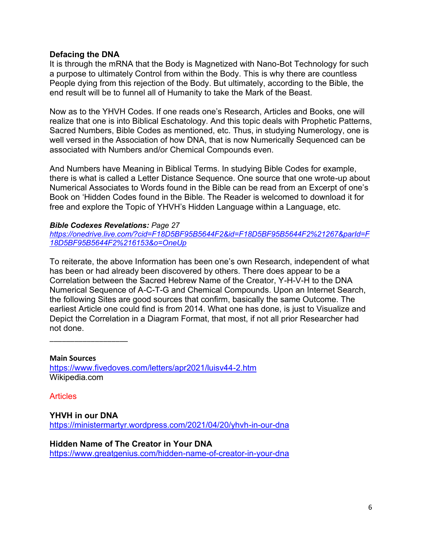#### **Defacing the DNA**

It is through the mRNA that the Body is Magnetized with Nano-Bot Technology for such a purpose to ultimately Control from within the Body. This is why there are countless People dying from this rejection of the Body. But ultimately, according to the Bible, the end result will be to funnel all of Humanity to take the Mark of the Beast.

Now as to the YHVH Codes. If one reads one's Research, Articles and Books, one will realize that one is into Biblical Eschatology. And this topic deals with Prophetic Patterns, Sacred Numbers, Bible Codes as mentioned, etc. Thus, in studying Numerology, one is well versed in the Association of how DNA, that is now Numerically Sequenced can be associated with Numbers and/or Chemical Compounds even.

And Numbers have Meaning in Biblical Terms. In studying Bible Codes for example, there is what is called a Letter Distance Sequence. One source that one wrote-up about Numerical Associates to Words found in the Bible can be read from an Excerpt of one's Book on 'Hidden Codes found in the Bible. The Reader is welcomed to download it for free and explore the Topic of YHVH's Hidden Language within a Language, etc.

#### *Bible Codexes Revelations: Page 27*

*[https://onedrive.live.com/?cid=F18D5BF95B5644F2&id=F18D5BF95B5644F2%21267&parId=F](https://onedrive.live.com/?cid=F18D5BF95B5644F2&id=F18D5BF95B5644F2%21267&parId=F18D5BF95B5644F2%216153&o=OneUp) [18D5BF95B5644F2%216153&o=OneUp](https://onedrive.live.com/?cid=F18D5BF95B5644F2&id=F18D5BF95B5644F2%21267&parId=F18D5BF95B5644F2%216153&o=OneUp)*

To reiterate, the above Information has been one's own Research, independent of what has been or had already been discovered by others. There does appear to be a Correlation between the Sacred Hebrew Name of the Creator, Y-H-V-H to the DNA Numerical Sequence of A-C-T-G and Chemical Compounds. Upon an Internet Search, the following Sites are good sources that confirm, basically the same Outcome. The earliest Article one could find is from 2014. What one has done, is just to Visualize and Depict the Correlation in a Diagram Format, that most, if not all prior Researcher had not done.

**Main Sources** <https://www.fivedoves.com/letters/apr2021/luisv44-2.htm> Wikipedia.com

**Articles** 

\_\_\_\_\_\_\_\_\_\_\_\_\_\_\_\_\_\_\_

**YHVH in our DNA** <https://ministermartyr.wordpress.com/2021/04/20/yhvh-in-our-dna>

**Hidden Name of The Creator in Your DNA** <https://www.greatgenius.com/hidden-name-of-creator-in-your-dna>